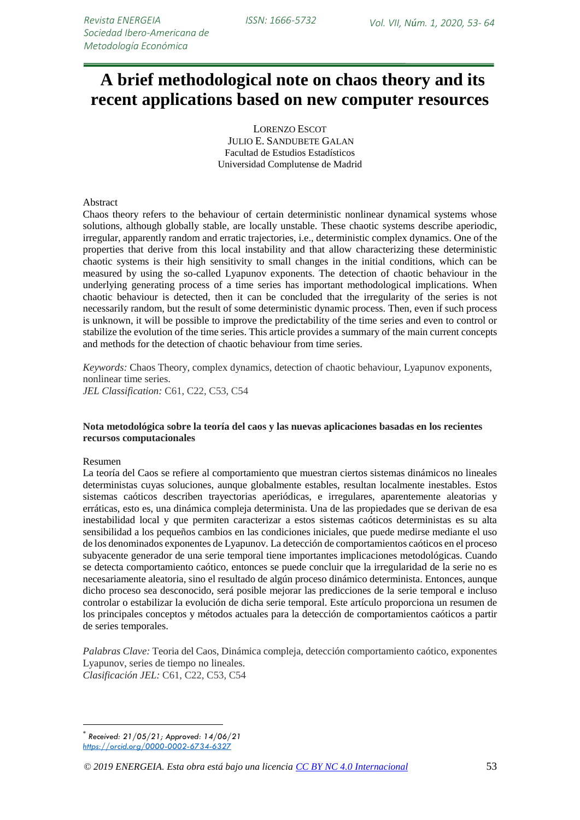# **\*A brief methodological note on chaos theory and its recent applications based on new computer resources**

LORENZO ESCOT JULIO E. SANDUBETE GALAN Facultad de Estudios Estadísticos Universidad Complutense de Madrid

#### Abstract

Chaos theory refers to the behaviour of certain deterministic nonlinear dynamical systems whose solutions, although globally stable, are locally unstable. These chaotic systems describe aperiodic, irregular, apparently random and erratic trajectories, i.e., deterministic complex dynamics. One of the properties that derive from this local instability and that allow characterizing these deterministic chaotic systems is their high sensitivity to small changes in the initial conditions, which can be measured by using the so-called Lyapunov exponents. The detection of chaotic behaviour in the underlying generating process of a time series has important methodological implications. When chaotic behaviour is detected, then it can be concluded that the irregularity of the series is not necessarily random, but the result of some deterministic dynamic process. Then, even if such process is unknown, it will be possible to improve the predictability of the time series and even to control or stabilize the evolution of the time series. This article provides a summary of the main current concepts and methods for the detection of chaotic behaviour from time series.

*Keywords:* Chaos Theory, complex dynamics, detection of chaotic behaviour, Lyapunov exponents, nonlinear time series. *JEL Classification:* C61, C22, C53, C54

#### **Nota metodológica sobre la teoría del caos y las nuevas aplicaciones basadas en los recientes recursos computacionales**

#### Resumen

1

La teoría del Caos se refiere al comportamiento que muestran ciertos sistemas dinámicos no lineales deterministas cuyas soluciones, aunque globalmente estables, resultan localmente inestables. Estos sistemas caóticos describen trayectorias aperiódicas, e irregulares, aparentemente aleatorias y erráticas, esto es, una dinámica compleja determinista. Una de las propiedades que se derivan de esa inestabilidad local y que permiten caracterizar a estos sistemas caóticos deterministas es su alta sensibilidad a los pequeños cambios en las condiciones iniciales, que puede medirse mediante el uso de los denominados exponentes de Lyapunov. La detección de comportamientos caóticos en el proceso subyacente generador de una serie temporal tiene importantes implicaciones metodológicas. Cuando se detecta comportamiento caótico, entonces se puede concluir que la irregularidad de la serie no es necesariamente aleatoria, sino el resultado de algún proceso dinámico determinista. Entonces, aunque dicho proceso sea desconocido, será posible mejorar las predicciones de la serie temporal e incluso controlar o estabilizar la evolución de dicha serie temporal. Este artículo proporciona un resumen de los principales conceptos y métodos actuales para la detección de comportamientos caóticos a partir de series temporales.

*Palabras Clave:* Teoria del Caos, Dinámica compleja, detección comportamiento caótico, exponentes Lyapunov, series de tiempo no lineales. *Clasificación JEL:* C61, C22, C53, C54

<sup>\*</sup> *Received: 21/05/21; Approved: 14/06/21 <https://orcid.org/0000-0002-6734-6327>*

*<sup>© 2019</sup> ENERGEIA. Esta obra está bajo una licencia [CC BY NC 4.0 Internacional](http://creativecommons.org/licenses/by-nc/4.0/)* 53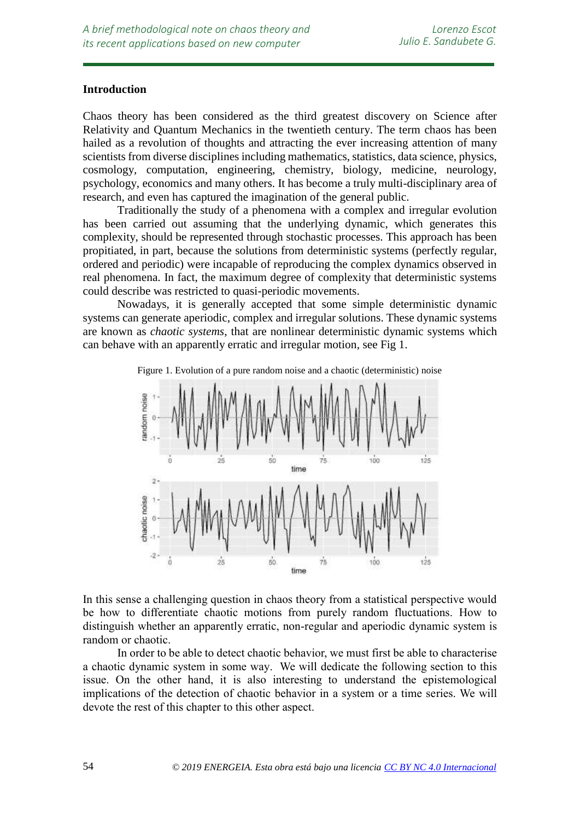## **Introduction**

*resources*

Chaos theory has been considered as the third greatest discovery on Science after Relativity and Quantum Mechanics in the twentieth century. The term chaos has been hailed as a revolution of thoughts and attracting the ever increasing attention of many scientists from diverse disciplines including mathematics, statistics, data science, physics, cosmology, computation, engineering, chemistry, biology, medicine, neurology, psychology, economics and many others. It has become a truly multi-disciplinary area of research, and even has captured the imagination of the general public.

Traditionally the study of a phenomena with a complex and irregular evolution has been carried out assuming that the underlying dynamic, which generates this complexity, should be represented through stochastic processes. This approach has been propitiated, in part, because the solutions from deterministic systems (perfectly regular, ordered and periodic) were incapable of reproducing the complex dynamics observed in real phenomena. In fact, the maximum degree of complexity that deterministic systems could describe was restricted to quasi-periodic movements.

Nowadays, it is generally accepted that some simple deterministic dynamic systems can generate aperiodic, complex and irregular solutions. These dynamic systems are known as *chaotic systems*, that are nonlinear deterministic dynamic systems which can behave with an apparently erratic and irregular motion, see Fig 1.



In this sense a challenging question in chaos theory from a statistical perspective would be how to differentiate chaotic motions from purely random fluctuations. How to distinguish whether an apparently erratic, non-regular and aperiodic dynamic system is random or chaotic.

In order to be able to detect chaotic behavior, we must first be able to characterise a chaotic dynamic system in some way. We will dedicate the following section to this issue. On the other hand, it is also interesting to understand the epistemological implications of the detection of chaotic behavior in a system or a time series. We will devote the rest of this chapter to this other aspect.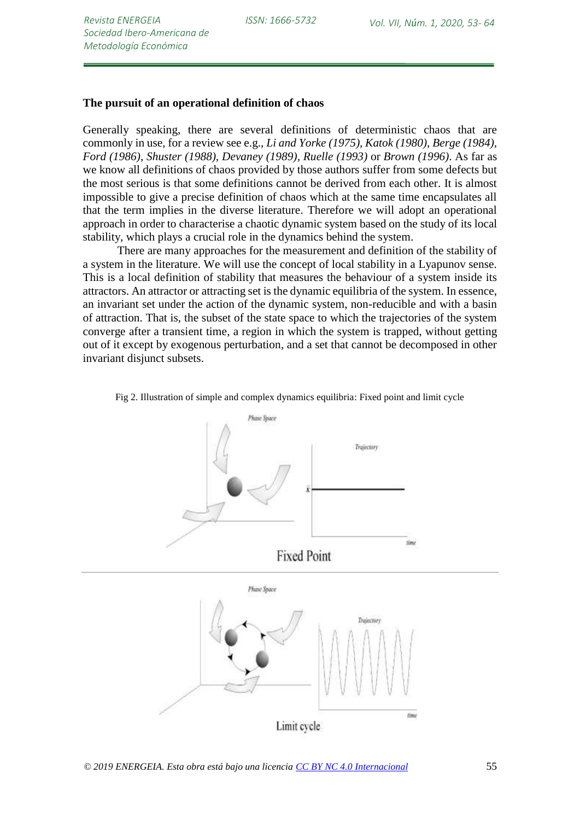### **The pursuit of an operational definition of chaos**

Generally speaking, there are several definitions of deterministic chaos that are commonly in use, for a review see e.g., *Li and Yorke (1975), Katok (1980), Berge (1984), Ford (1986), Shuster (1988), Devaney (1989), Ruelle (1993)* or *Brown (1996)*. As far as we know all definitions of chaos provided by those authors suffer from some defects but the most serious is that some definitions cannot be derived from each other. It is almost impossible to give a precise definition of chaos which at the same time encapsulates all that the term implies in the diverse literature. Therefore we will adopt an operational approach in order to characterise a chaotic dynamic system based on the study of its local stability, which plays a crucial role in the dynamics behind the system.

There are many approaches for the measurement and definition of the stability of a system in the literature. We will use the concept of local stability in a Lyapunov sense. This is a local definition of stability that measures the behaviour of a system inside its attractors. An attractor or attracting set is the dynamic equilibria of the system. In essence, an invariant set under the action of the dynamic system, non-reducible and with a basin of attraction. That is, the subset of the state space to which the trajectories of the system converge after a transient time, a region in which the system is trapped, without getting out of it except by exogenous perturbation, and a set that cannot be decomposed in other invariant disjunct subsets.



Fig 2. Illustration of simple and complex dynamics equilibria: Fixed point and limit cycle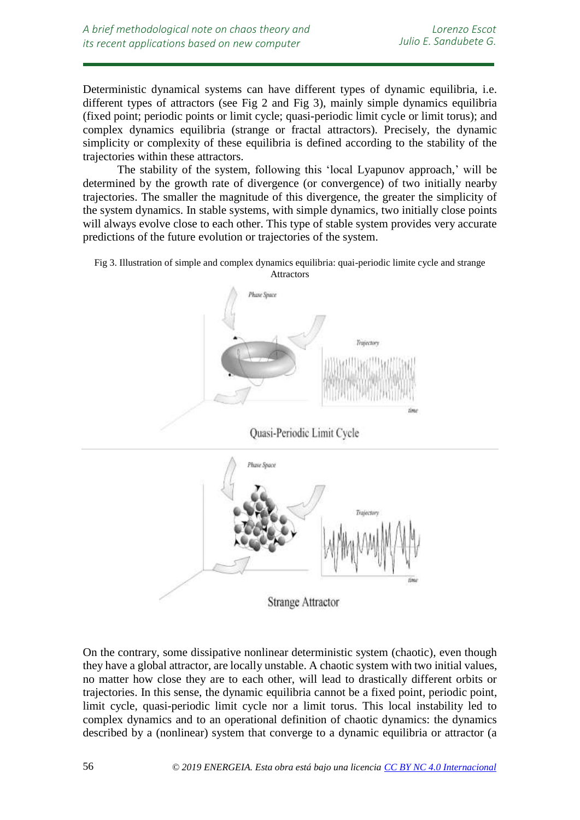Deterministic dynamical systems can have different types of dynamic equilibria, i.e. different types of attractors (see Fig 2 and Fig 3), mainly simple dynamics equilibria (fixed point; periodic points or limit cycle; quasi-periodic limit cycle or limit torus); and complex dynamics equilibria (strange or fractal attractors). Precisely, the dynamic simplicity or complexity of these equilibria is defined according to the stability of the trajectories within these attractors.

The stability of the system, following this 'local Lyapunov approach,' will be determined by the growth rate of divergence (or convergence) of two initially nearby trajectories. The smaller the magnitude of this divergence, the greater the simplicity of the system dynamics. In stable systems, with simple dynamics, two initially close points will always evolve close to each other. This type of stable system provides very accurate predictions of the future evolution or trajectories of the system.





Quasi-Periodic Limit Cycle



On the contrary, some dissipative nonlinear deterministic system (chaotic), even though they have a global attractor, are locally unstable. A chaotic system with two initial values, no matter how close they are to each other, will lead to drastically different orbits or trajectories. In this sense, the dynamic equilibria cannot be a fixed point, periodic point, limit cycle, quasi-periodic limit cycle nor a limit torus. This local instability led to complex dynamics and to an operational definition of chaotic dynamics: the dynamics described by a (nonlinear) system that converge to a dynamic equilibria or attractor (a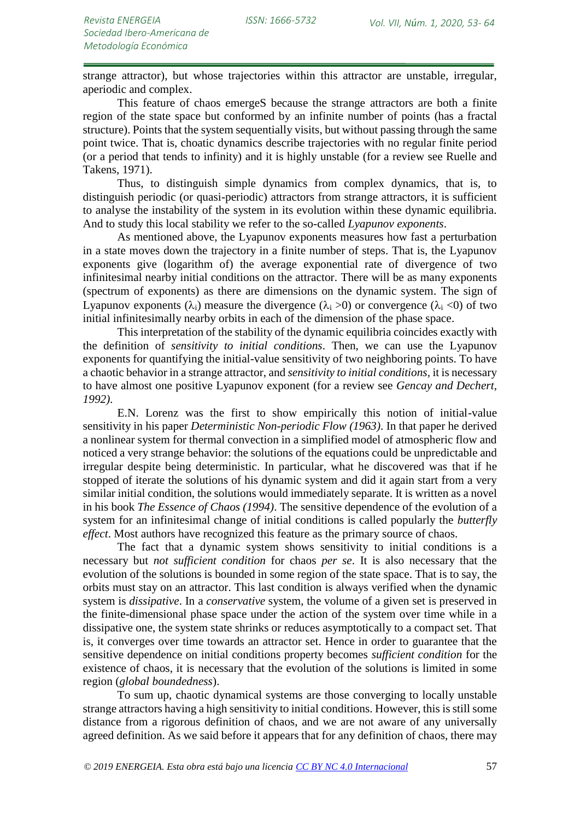strange attractor), but whose trajectories within this attractor are unstable, irregular, aperiodic and complex.

This feature of chaos emergeS because the strange attractors are both a finite region of the state space but conformed by an infinite number of points (has a fractal structure). Points that the system sequentially visits, but without passing through the same point twice. That is, choatic dynamics describe trajectories with no regular finite period (or a period that tends to infinity) and it is highly unstable (for a review see Ruelle and Takens, 1971).

Thus, to distinguish simple dynamics from complex dynamics, that is, to distinguish periodic (or quasi-periodic) attractors from strange attractors, it is sufficient to analyse the instability of the system in its evolution within these dynamic equilibria. And to study this local stability we refer to the so-called *Lyapunov exponents*.

As mentioned above, the Lyapunov exponents measures how fast a perturbation in a state moves down the trajectory in a finite number of steps. That is, the Lyapunov exponents give (logarithm of) the average exponential rate of divergence of two infinitesimal nearby initial conditions on the attractor. There will be as many exponents (spectrum of exponents) as there are dimensions on the dynamic system. The sign of Lyapunov exponents  $(\lambda_i)$  measure the divergence  $(\lambda_i > 0)$  or convergence  $(\lambda_i < 0)$  of two initial infinitesimally nearby orbits in each of the dimension of the phase space.

This interpretation of the stability of the dynamic equilibria coincides exactly with the definition of *sensitivity to initial conditions*. Then, we can use the Lyapunov exponents for quantifying the initial-value sensitivity of two neighboring points. To have a chaotic behavior in a strange attractor, and *sensitivity to initial conditions,* it is necessary to have almost one positive Lyapunov exponent (for a review see *Gencay and Dechert, 1992)*.

E.N. Lorenz was the first to show empirically this notion of initial-value sensitivity in his paper *Deterministic Non-periodic Flow (1963)*. In that paper he derived a nonlinear system for thermal convection in a simplified model of atmospheric flow and noticed a very strange behavior: the solutions of the equations could be unpredictable and irregular despite being deterministic. In particular, what he discovered was that if he stopped of iterate the solutions of his dynamic system and did it again start from a very similar initial condition, the solutions would immediately separate. It is written as a novel in his book *The Essence of Chaos (1994)*. The sensitive dependence of the evolution of a system for an infinitesimal change of initial conditions is called popularly the *butterfly effect*. Most authors have recognized this feature as the primary source of chaos.

The fact that a dynamic system shows sensitivity to initial conditions is a necessary but *not sufficient condition* for chaos *per se*. It is also necessary that the evolution of the solutions is bounded in some region of the state space. That is to say, the orbits must stay on an attractor. This last condition is always verified when the dynamic system is *dissipative*. In a *conservative* system, the volume of a given set is preserved in the finite-dimensional phase space under the action of the system over time while in a dissipative one, the system state shrinks or reduces asymptotically to a compact set. That is, it converges over time towards an attractor set. Hence in order to guarantee that the sensitive dependence on initial conditions property becomes *sufficient condition* for the existence of chaos, it is necessary that the evolution of the solutions is limited in some region (*global boundedness*).

To sum up, chaotic dynamical systems are those converging to locally unstable strange attractors having a high sensitivity to initial conditions. However, this is still some distance from a rigorous definition of chaos, and we are not aware of any universally agreed definition. As we said before it appears that for any definition of chaos, there may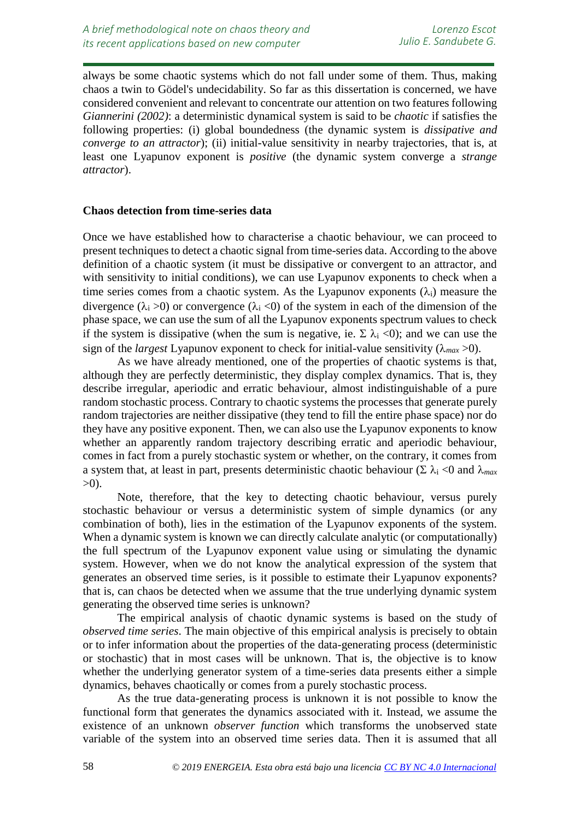always be some chaotic systems which do not fall under some of them. Thus, making chaos a twin to Gödel's undecidability. So far as this dissertation is concerned, we have considered convenient and relevant to concentrate our attention on two features following *Giannerini (2002)*: a deterministic dynamical system is said to be *chaotic* if satisfies the following properties: (i) global boundedness (the dynamic system is *dissipative and converge to an attractor*); (ii) initial-value sensitivity in nearby trajectories, that is, at least one Lyapunov exponent is *positive* (the dynamic system converge a *strange attractor*).

## **Chaos detection from time-series data**

Once we have established how to characterise a chaotic behaviour, we can proceed to present techniques to detect a chaotic signal from time-series data. According to the above definition of a chaotic system (it must be dissipative or convergent to an attractor, and with sensitivity to initial conditions), we can use Lyapunov exponents to check when a time series comes from a chaotic system. As the Lyapunov exponents  $(\lambda_i)$  measure the divergence ( $\lambda_i > 0$ ) or convergence ( $\lambda_i < 0$ ) of the system in each of the dimension of the phase space, we can use the sum of all the Lyapunov exponents spectrum values to check if the system is dissipative (when the sum is negative, ie.  $\Sigma \lambda_i \langle 0 \rangle$ ; and we can use the sign of the *largest* Lyapunov exponent to check for initial-value sensitivity ( $\lambda_{max} > 0$ ).

As we have already mentioned, one of the properties of chaotic systems is that, although they are perfectly deterministic, they display complex dynamics. That is, they describe irregular, aperiodic and erratic behaviour, almost indistinguishable of a pure random stochastic process. Contrary to chaotic systems the processes that generate purely random trajectories are neither dissipative (they tend to fill the entire phase space) nor do they have any positive exponent. Then, we can also use the Lyapunov exponents to know whether an apparently random trajectory describing erratic and aperiodic behaviour, comes in fact from a purely stochastic system or whether, on the contrary, it comes from a system that, at least in part, presents deterministic chaotic behaviour ( $\Sigma \lambda_i$  <0 and  $\lambda_{max}$ )  $>0$ ).

Note, therefore, that the key to detecting chaotic behaviour, versus purely stochastic behaviour or versus a deterministic system of simple dynamics (or any combination of both), lies in the estimation of the Lyapunov exponents of the system. When a dynamic system is known we can directly calculate analytic (or computationally) the full spectrum of the Lyapunov exponent value using or simulating the dynamic system. However, when we do not know the analytical expression of the system that generates an observed time series, is it possible to estimate their Lyapunov exponents? that is, can chaos be detected when we assume that the true underlying dynamic system generating the observed time series is unknown?

The empirical analysis of chaotic dynamic systems is based on the study of *observed time series*. The main objective of this empirical analysis is precisely to obtain or to infer information about the properties of the data-generating process (deterministic or stochastic) that in most cases will be unknown. That is, the objective is to know whether the underlying generator system of a time-series data presents either a simple dynamics, behaves chaotically or comes from a purely stochastic process.

As the true data-generating process is unknown it is not possible to know the functional form that generates the dynamics associated with it. Instead, we assume the existence of an unknown *observer function* which transforms the unobserved state variable of the system into an observed time series data. Then it is assumed that all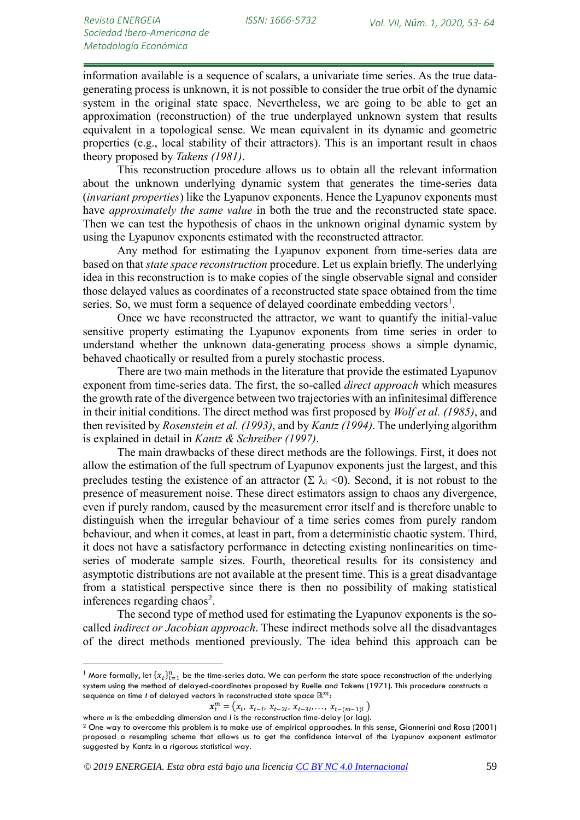information available is a sequence of scalars, a univariate time series. As the true datagenerating process is unknown, it is not possible to consider the true orbit of the dynamic system in the original state space. Nevertheless, we are going to be able to get an approximation (reconstruction) of the true underplayed unknown system that results equivalent in a topological sense. We mean equivalent in its dynamic and geometric properties (e.g., local stability of their attractors). This is an important result in chaos theory proposed by *Takens (1981)*.

This reconstruction procedure allows us to obtain all the relevant information about the unknown underlying dynamic system that generates the time-series data (*invariant properties*) like the Lyapunov exponents. Hence the Lyapunov exponents must have *approximately the same value* in both the true and the reconstructed state space. Then we can test the hypothesis of chaos in the unknown original dynamic system by using the Lyapunov exponents estimated with the reconstructed attractor.

Any method for estimating the Lyapunov exponent from time-series data are based on that *state space reconstruction* procedure. Let us explain briefly. The underlying idea in this reconstruction is to make copies of the single observable signal and consider those delayed values as coordinates of a reconstructed state space obtained from the time series. So, we must form a sequence of delayed coordinate embedding vectors<sup>1</sup>.

Once we have reconstructed the attractor, we want to quantify the initial-value sensitive property estimating the Lyapunov exponents from time series in order to understand whether the unknown data-generating process shows a simple dynamic, behaved chaotically or resulted from a purely stochastic process.

There are two main methods in the literature that provide the estimated Lyapunov exponent from time-series data. The first, the so-called *direct approach* which measures the growth rate of the divergence between two trajectories with an infinitesimal difference in their initial conditions. The direct method was first proposed by *Wolf et al. (1985)*, and then revisited by *Rosenstein et al. (1993)*, and by *Kantz (1994)*. The underlying algorithm is explained in detail in *Kantz & Schreiber (1997)*.

The main drawbacks of these direct methods are the followings. First, it does not allow the estimation of the full spectrum of Lyapunov exponents just the largest, and this precludes testing the existence of an attractor  $(\Sigma \lambda_i \langle 0)$ . Second, it is not robust to the presence of measurement noise. These direct estimators assign to chaos any divergence, even if purely random, caused by the measurement error itself and is therefore unable to distinguish when the irregular behaviour of a time series comes from purely random behaviour, and when it comes, at least in part, from a deterministic chaotic system. Third, it does not have a satisfactory performance in detecting existing nonlinearities on timeseries of moderate sample sizes. Fourth, theoretical results for its consistency and asymptotic distributions are not available at the present time. This is a great disadvantage from a statistical perspective since there is then no possibility of making statistical inferences regarding chaos<sup>2</sup>.

The second type of method used for estimating the Lyapunov exponents is the socalled *indirect or Jacobian approach*. These indirect methods solve all the disadvantages of the direct methods mentioned previously. The idea behind this approach can be

<u>.</u>

 $^1$  More formally, let  $\{\chi_t\}_{t=1}^n$  be the time-series data. We can perform the state space reconstruction of the underlying system using the method of delayed-coordinates proposed by Ruelle and Takens (1971). This procedure constructs a sequence on time *t* of delayed vectors in reconstructed state space  $\mathbb{R}^m$ :

 $x_t^m = (x_t, x_{t-l}, x_{t-2l}, x_{t-3l}, \ldots, x_{t-(m-1)l})$ 

where *m* is the embedding dimension and *l* is the reconstruction time-delay (or lag).

<sup>2</sup> One way to overcome this problem is to make use of empirical approaches. In this sense, Giannerini and Rosa (2001) proposed a resampling scheme that allows us to get the confidence interval of the Lyapunov exponent estimator suggested by Kantz in a rigorous statistical way.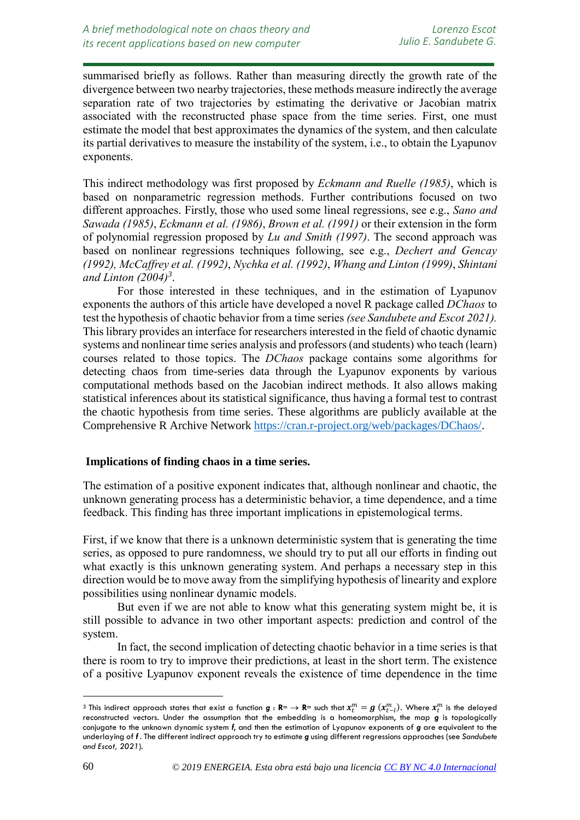summarised briefly as follows. Rather than measuring directly the growth rate of the divergence between two nearby trajectories, these methods measure indirectly the average separation rate of two trajectories by estimating the derivative or Jacobian matrix associated with the reconstructed phase space from the time series. First, one must estimate the model that best approximates the dynamics of the system, and then calculate its partial derivatives to measure the instability of the system, i.e., to obtain the Lyapunov exponents.

This indirect methodology was first proposed by *Eckmann and Ruelle (1985)*, which is based on nonparametric regression methods. Further contributions focused on two different approaches. Firstly, those who used some lineal regressions, see e.g., *Sano and Sawada (1985)*, *Eckmann et al. (1986)*, *Brown et al. (1991)* or their extension in the form of polynomial regression proposed by *Lu and Smith (1997)*. The second approach was based on nonlinear regressions techniques following, see e.g., *Dechert and Gencay (1992), McCaffrey et al. (1992)*, *Nychka et al. (1992)*, *Whang and Linton (1999)*, *Shintani and Linton (2004)<sup>3</sup>* .

For those interested in these techniques, and in the estimation of Lyapunov exponents the authors of this article have developed a novel R package called *DChaos* to test the hypothesis of chaotic behavior from a time series *(see Sandubete and Escot 2021).* This library provides an interface for researchers interested in the field of chaotic dynamic systems and nonlinear time series analysis and professors (and students) who teach (learn) courses related to those topics. The *DChaos* package contains some algorithms for detecting chaos from time-series data through the Lyapunov exponents by various computational methods based on the Jacobian indirect methods. It also allows making statistical inferences about its statistical significance, thus having a formal test to contrast the chaotic hypothesis from time series. These algorithms are publicly available at the Comprehensive R Archive Network [https://cran.r-project.org/web/packages/DChaos/.](https://cran.r-project.org/web/packages/DChaos/)

## **Implications of finding chaos in a time series.**

The estimation of a positive exponent indicates that, although nonlinear and chaotic, the unknown generating process has a deterministic behavior, a time dependence, and a time feedback. This finding has three important implications in epistemological terms.

First, if we know that there is a unknown deterministic system that is generating the time series, as opposed to pure randomness, we should try to put all our efforts in finding out what exactly is this unknown generating system. And perhaps a necessary step in this direction would be to move away from the simplifying hypothesis of linearity and explore possibilities using nonlinear dynamic models.

But even if we are not able to know what this generating system might be, it is still possible to advance in two other important aspects: prediction and control of the system.

In fact, the second implication of detecting chaotic behavior in a time series is that there is room to try to improve their predictions, at least in the short term. The existence of a positive Lyapunov exponent reveals the existence of time dependence in the time

<u>.</u>

 $^3$  This indirect approach states that exist a function  $\bm{g}:\bm{\mathsf{R}}^m\to\bm{\mathsf{R}}^m$  such that  $x_t^m=g$   $(x_{t-l}^m).$  Where  $x_t^m$  is the delayed reconstructed vectors. Under the assumption that the embedding is a homeomorphism, the map *g* is topologically conjugate to the unknown dynamic system *f*, and then the estimation of Lyapunov exponents of *g* are equivalent to the underlaying of *f* . The different indirect approach try to estimate *g* using different regressions approaches (see *Sandubete and Escot, 2021*).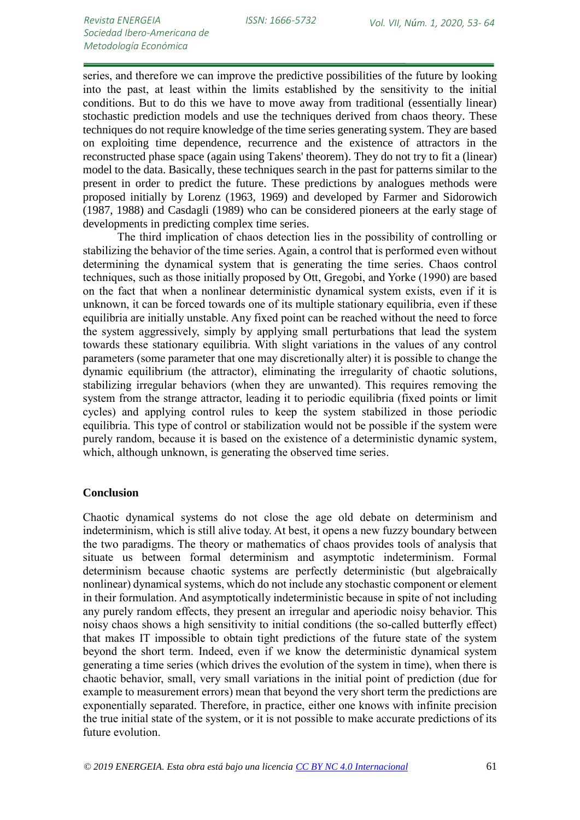series, and therefore we can improve the predictive possibilities of the future by looking into the past, at least within the limits established by the sensitivity to the initial conditions. But to do this we have to move away from traditional (essentially linear) stochastic prediction models and use the techniques derived from chaos theory. These techniques do not require knowledge of the time series generating system. They are based on exploiting time dependence, recurrence and the existence of attractors in the reconstructed phase space (again using Takens' theorem). They do not try to fit a (linear) model to the data. Basically, these techniques search in the past for patterns similar to the present in order to predict the future. These predictions by analogues methods were proposed initially by Lorenz (1963, 1969) and developed by Farmer and Sidorowich (1987, 1988) and Casdagli (1989) who can be considered pioneers at the early stage of developments in predicting complex time series.

The third implication of chaos detection lies in the possibility of controlling or stabilizing the behavior of the time series. Again, a control that is performed even without determining the dynamical system that is generating the time series. Chaos control techniques, such as those initially proposed by Ott, Gregobi, and Yorke (1990) are based on the fact that when a nonlinear deterministic dynamical system exists, even if it is unknown, it can be forced towards one of its multiple stationary equilibria, even if these equilibria are initially unstable. Any fixed point can be reached without the need to force the system aggressively, simply by applying small perturbations that lead the system towards these stationary equilibria. With slight variations in the values of any control parameters (some parameter that one may discretionally alter) it is possible to change the dynamic equilibrium (the attractor), eliminating the irregularity of chaotic solutions, stabilizing irregular behaviors (when they are unwanted). This requires removing the system from the strange attractor, leading it to periodic equilibria (fixed points or limit cycles) and applying control rules to keep the system stabilized in those periodic equilibria. This type of control or stabilization would not be possible if the system were purely random, because it is based on the existence of a deterministic dynamic system, which, although unknown, is generating the observed time series.

## **Conclusion**

Chaotic dynamical systems do not close the age old debate on determinism and indeterminism, which is still alive today. At best, it opens a new fuzzy boundary between the two paradigms. The theory or mathematics of chaos provides tools of analysis that situate us between formal determinism and asymptotic indeterminism. Formal determinism because chaotic systems are perfectly deterministic (but algebraically nonlinear) dynamical systems, which do not include any stochastic component or element in their formulation. And asymptotically indeterministic because in spite of not including any purely random effects, they present an irregular and aperiodic noisy behavior. This noisy chaos shows a high sensitivity to initial conditions (the so-called butterfly effect) that makes IT impossible to obtain tight predictions of the future state of the system beyond the short term. Indeed, even if we know the deterministic dynamical system generating a time series (which drives the evolution of the system in time), when there is chaotic behavior, small, very small variations in the initial point of prediction (due for example to measurement errors) mean that beyond the very short term the predictions are exponentially separated. Therefore, in practice, either one knows with infinite precision the true initial state of the system, or it is not possible to make accurate predictions of its future evolution.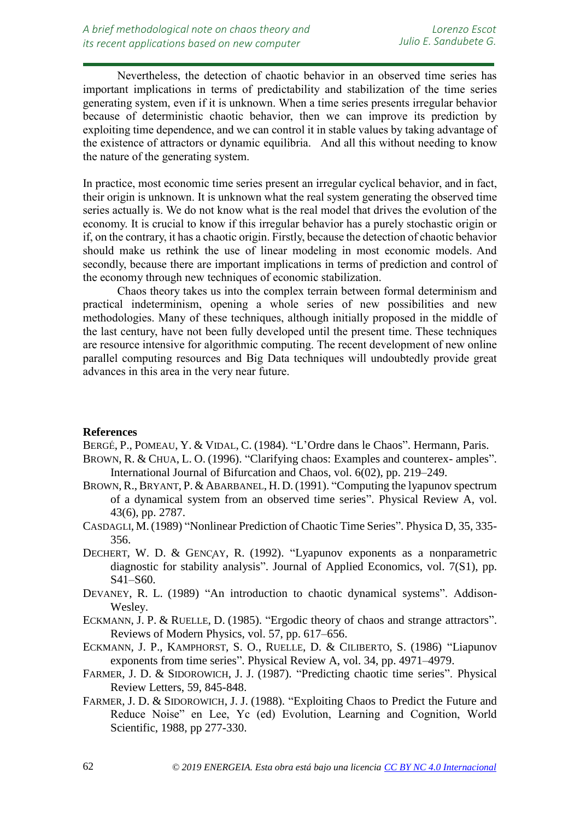Nevertheless, the detection of chaotic behavior in an observed time series has important implications in terms of predictability and stabilization of the time series generating system, even if it is unknown. When a time series presents irregular behavior because of deterministic chaotic behavior, then we can improve its prediction by exploiting time dependence, and we can control it in stable values by taking advantage of the existence of attractors or dynamic equilibria. And all this without needing to know the nature of the generating system.

In practice, most economic time series present an irregular cyclical behavior, and in fact, their origin is unknown. It is unknown what the real system generating the observed time series actually is. We do not know what is the real model that drives the evolution of the economy. It is crucial to know if this irregular behavior has a purely stochastic origin or if, on the contrary, it has a chaotic origin. Firstly, because the detection of chaotic behavior should make us rethink the use of linear modeling in most economic models. And secondly, because there are important implications in terms of prediction and control of the economy through new techniques of economic stabilization.

Chaos theory takes us into the complex terrain between formal determinism and practical indeterminism, opening a whole series of new possibilities and new methodologies. Many of these techniques, although initially proposed in the middle of the last century, have not been fully developed until the present time. These techniques are resource intensive for algorithmic computing. The recent development of new online parallel computing resources and Big Data techniques will undoubtedly provide great advances in this area in the very near future.

## **References**

*resources*

BERGÉ, P., POMEAU, Y. & VIDAL, C. (1984). "L'Ordre dans le Chaos". Hermann, Paris.

- BROWN, R. & CHUA, L. O. (1996). "Clarifying chaos: Examples and counterex- amples". International Journal of Bifurcation and Chaos, vol. 6(02), pp. 219–249.
- BROWN, R., BRYANT, P. & ABARBANEL, H. D. (1991). "Computing the lyapunov spectrum of a dynamical system from an observed time series". Physical Review A, vol. 43(6), pp. 2787.
- CASDAGLI, M.(1989) "Nonlinear Prediction of Chaotic Time Series". Physica D, 35, 335- 356.
- DECHERT, W. D. & GENCAY, R. (1992). "Lyapunov exponents as a nonparametric diagnostic for stability analysis". Journal of Applied Economics, vol. 7(S1), pp. S41–S60.
- DEVANEY, R. L. (1989) "An introduction to chaotic dynamical systems". Addison-Wesley.
- ECKMANN, J. P. & RUELLE, D. (1985). "Ergodic theory of chaos and strange attractors". Reviews of Modern Physics, vol. 57, pp. 617–656.
- ECKMANN, J. P., KAMPHORST, S. O., RUELLE, D. & CILIBERTO, S. (1986) "Liapunov exponents from time series". Physical Review A, vol. 34, pp. 4971–4979.
- FARMER, J. D. & SIDOROWICH, J. J. (1987). "Predicting chaotic time series". Physical Review Letters, 59, 845-848.
- FARMER, J. D. & SIDOROWICH, J. J. (1988). "Exploiting Chaos to Predict the Future and Reduce Noise" en Lee, Yc (ed) Evolution, Learning and Cognition, World Scientific, 1988, pp 277-330.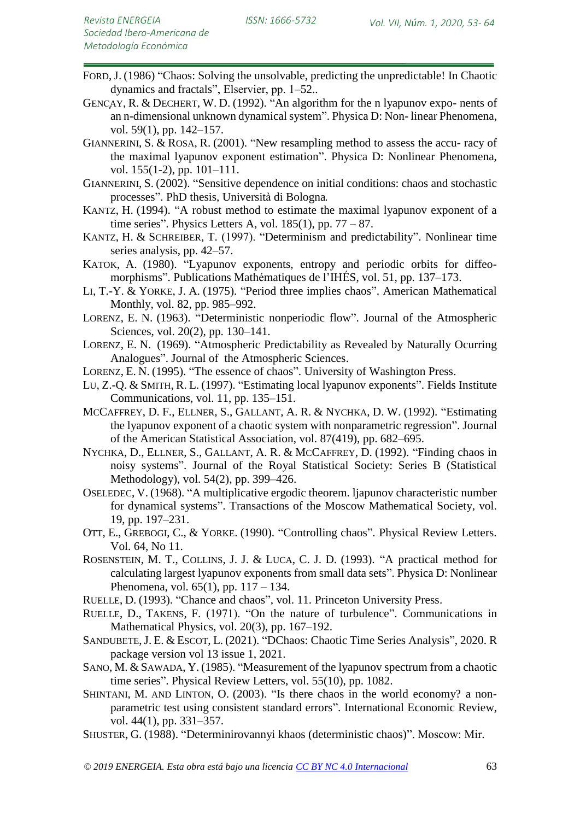- FORD,J. (1986) "Chaos: Solving the unsolvable, predicting the unpredictable! In Chaotic dynamics and fractals", Elservier, pp. 1–52..
- GENCAY, R. & DECHERT, W. D. (1992). "An algorithm for the n lyapunov expo- nents of an n-dimensional unknown dynamical system". Physica D: Non- linear Phenomena, vol. 59(1), pp. 142–157.
- GIANNERINI, S. & ROSA, R. (2001). "New resampling method to assess the accu- racy of the maximal lyapunov exponent estimation". Physica D: Nonlinear Phenomena, vol. 155(1-2), pp. 101–111.
- GIANNERINI, S. (2002). "Sensitive dependence on initial conditions: chaos and stochastic processes". PhD thesis, Università di Bologna.
- KANTZ, H. (1994). "A robust method to estimate the maximal lyapunov exponent of a time series". Physics Letters A, vol.  $185(1)$ , pp.  $77 - 87$ .
- KANTZ, H. & SCHREIBER, T. (1997). "Determinism and predictability". Nonlinear time series analysis, pp. 42–57.
- KATOK, A. (1980). "Lyapunov exponents, entropy and periodic orbits for diffeomorphisms". Publications Mathématiques de l'IHÉS, vol. 51, pp. 137–173.
- LI, T.-Y. & YORKE, J. A. (1975). "Period three implies chaos". American Mathematical Monthly, vol. 82, pp. 985–992.
- LORENZ, E. N. (1963). "Deterministic nonperiodic flow". Journal of the Atmospheric Sciences, vol. 20(2), pp. 130–141.
- LORENZ, E. N. (1969). "Atmospheric Predictability as Revealed by Naturally Ocurring Analogues". Journal of the Atmospheric Sciences.
- LORENZ, E. N. (1995). "The essence of chaos". University of Washington Press.
- LU, Z.-Q. & SMITH, R. L. (1997). "Estimating local lyapunov exponents". Fields Institute Communications, vol. 11, pp. 135–151.
- MCCAFFREY, D. F., ELLNER, S., GALLANT, A. R. & NYCHKA, D. W. (1992). "Estimating the lyapunov exponent of a chaotic system with nonparametric regression". Journal of the American Statistical Association, vol. 87(419), pp. 682–695.
- NYCHKA, D., ELLNER, S., GALLANT, A. R. & MCCAFFREY, D. (1992). "Finding chaos in noisy systems". Journal of the Royal Statistical Society: Series B (Statistical Methodology), vol. 54(2), pp. 399–426.
- OSELEDEC, V. (1968). "A multiplicative ergodic theorem. ljapunov characteristic number for dynamical systems". Transactions of the Moscow Mathematical Society, vol. 19, pp. 197–231.
- OTT, E., GREBOGI, C., & YORKE. (1990). "Controlling chaos". Physical Review Letters. Vol. 64, No 11.
- ROSENSTEIN, M. T., COLLINS, J. J. & LUCA, C. J. D. (1993). "A practical method for calculating largest lyapunov exponents from small data sets". Physica D: Nonlinear Phenomena, vol.  $65(1)$ , pp.  $117 - 134$ .
- RUELLE, D. (1993). "Chance and chaos", vol. 11. Princeton University Press.
- RUELLE, D., TAKENS, F. (1971). "On the nature of turbulence". Communications in Mathematical Physics, vol. 20(3), pp. 167–192.
- SANDUBETE,J. E. & ESCOT, L. (2021). "DChaos: Chaotic Time Series Analysis", 2020. R package version vol 13 issue 1, 2021.
- SANO, M. & SAWADA, Y. (1985). "Measurement of the lyapunov spectrum from a chaotic time series". Physical Review Letters, vol. 55(10), pp. 1082.
- SHINTANI, M. AND LINTON, O. (2003). "Is there chaos in the world economy? a nonparametric test using consistent standard errors". International Economic Review, vol. 44(1), pp. 331–357.
- SHUSTER, G. (1988). "Determinirovannyi khaos (deterministic chaos)". Moscow: Mir.